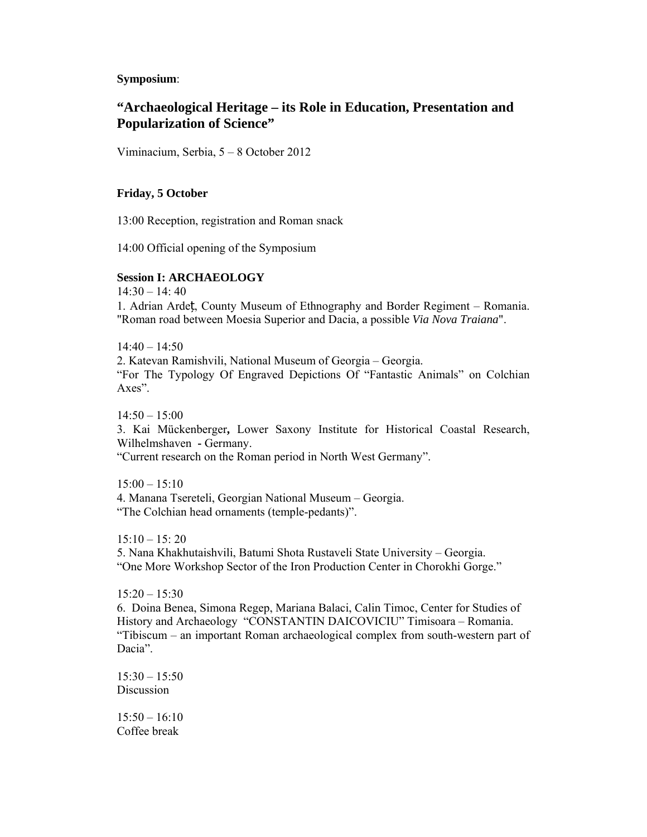**Symposium**:

# **"Archaeological Heritage – its Role in Education, Presentation and Popularization of Science"**

Viminacium, Serbia, 5 – 8 October 2012

# **Friday, 5 October**

13:00 Reception, registration and Roman snack

14:00 Official opening of the Symposium

# **Session I: ARCHAEOLOGY**

14:30 – 14: 40 1. Adrian Ardeț, County Museum of Ethnography and Border Regiment – Romania. "Roman road between Moesia Superior and Dacia, a possible *Via Nova Traiana*".

 $14:40 - 14:50$ 2. Katevan Ramishvili, National Museum of Georgia – Georgia. "For The Typology Of Engraved Depictions Of "Fantastic Animals" on Colchian Axes".

14:50 – 15:00 3. Kai Mückenberger**,** Lower Saxony Institute for Historical Coastal Research, Wilhelmshaven **-** Germany. "Current research on the Roman period in North West Germany".

 $15:00 - 15:10$ 4. Manana Tsereteli, Georgian National Museum – Georgia. "The Colchian head ornaments (temple-pedants)".

 $15:10 - 15:20$ 5. Nana Khakhutaishvili, Batumi Shota Rustaveli State University – Georgia. "One More Workshop Sector of the Iron Production Center in Chorokhi Gorge."

 $15:20 - 15:30$ 6. Doina Benea, Simona Regep, Mariana Balaci, Calin Timoc, Center for Studies of History and Archaeology "CONSTANTIN DAICOVICIU" Timisoara – Romania. "Tibiscum – an important Roman archaeological complex from south-western part of Dacia".

 $15:30 - 15:50$ Discussion

 $15:50 - 16:10$ Coffee break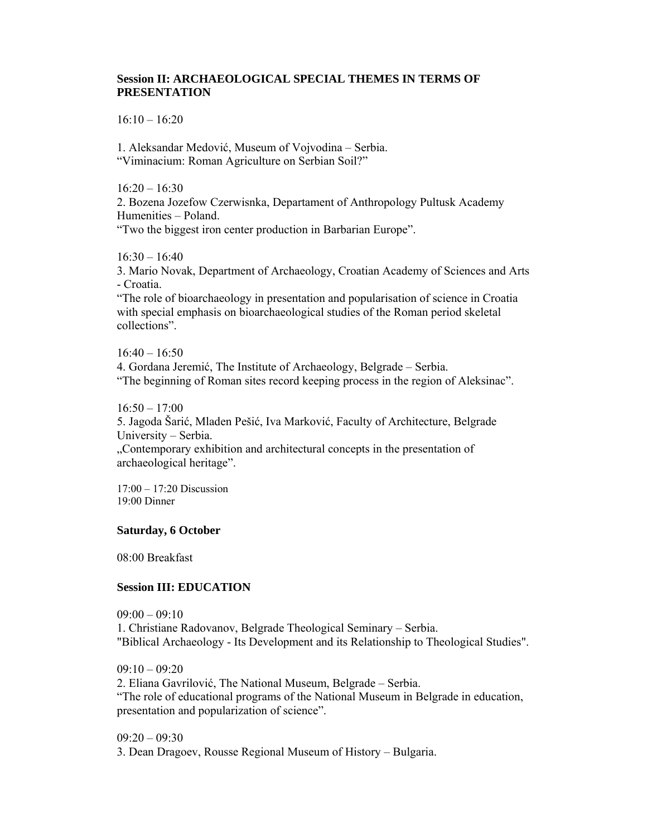# **Session II: ARCHAEOLOGICAL SPECIAL THEMES IN TERMS OF PRESENTATION**

 $16:10 - 16:20$ 

1. Aleksandar Medović, Museum of Vojvodina – Serbia. "Viminacium: Roman Agriculture on Serbian Soil?"

 $16:20 - 16:30$ 

2. Bozena Jozefow Czerwisnka, Departament of Anthropology Pultusk Academy Humenities – Poland.

"Two the biggest iron center production in Barbarian Europe".

 $16:30 - 16:40$ 

3. Mario Novak, Department of Archaeology, Croatian Academy of Sciences and Arts - Croatia.

"The role of bioarchaeology in presentation and popularisation of science in Croatia with special emphasis on bioarchaeological studies of the Roman period skeletal collections".

 $16:40 - 16:50$ 

4. Gordana Jeremić, The Institute of Archaeology, Belgrade – Serbia. "The beginning of Roman sites record keeping process in the region of Aleksinac".

 $16:50 - 17:00$ 

5. Jagoda Šarić, Mladen Pešić, Iva Marković, Faculty of Architecture, Belgrade University – Serbia.

"Contemporary exhibition and architectural concepts in the presentation of archaeological heritage".

17:00 – 17:20 Discussion 19:00 Dinner

#### **Saturday, 6 October**

08:00 Breakfast

### **Session III: EDUCATION**

 $09.00 - 09.10$ 1. Christiane Radovanov, Belgrade Theological Seminary – Serbia. "Biblical Archaeology - Its Development and its Relationship to Theological Studies".

 $09:10 - 09:20$ 2. Eliana Gavrilović, The National Museum, Belgrade – Serbia. "The role of educational programs of the National Museum in Belgrade in education, presentation and popularization of science".

09:20 – 09:30 3. Dean Dragoev, Rousse Regional Museum of History – Bulgaria.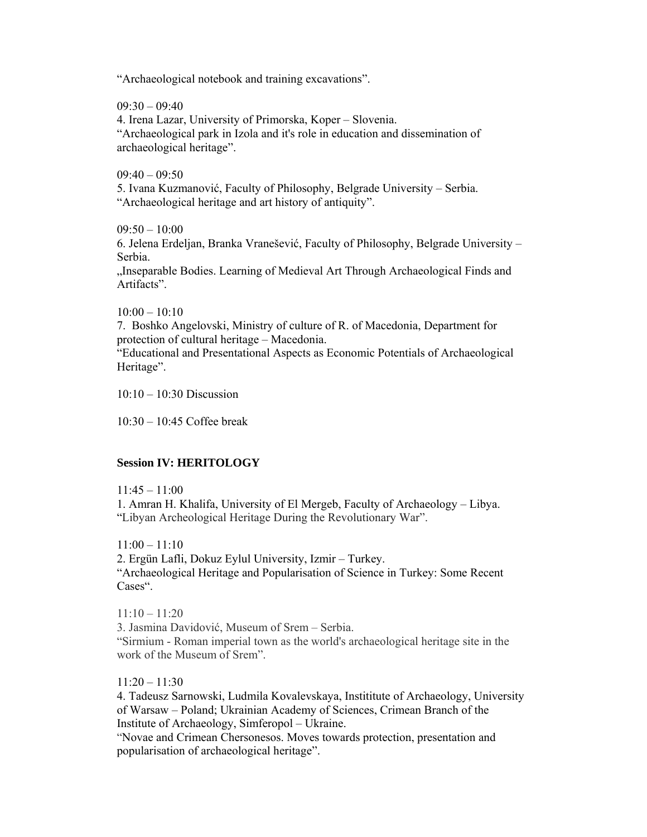"Archaeological notebook and training excavations".

 $09:30 - 09:40$ 

4. Irena Lazar, University of Primorska, Koper – Slovenia. "Archaeological park in Izola and it's role in education and dissemination of archaeological heritage".

 $09:40 - 09:50$ 

5. Ivana Kuzmanović, Faculty of Philosophy, Belgrade University – Serbia. "Archaeological heritage and art history of antiquity".

 $09:50 - 10:00$ 

6. Jelena Erdeljan, Branka Vranešević, Faculty of Philosophy, Belgrade University – Serbia.

"Inseparable Bodies. Learning of Medieval Art Through Archaeological Finds and Artifacts".

 $10:00 - 10:10$ 

7. Boshko Angelovski, Ministry of culture of R. of Macedonia, Department for protection of cultural heritage – Macedonia.

"Educational and Presentational Aspects as Economic Potentials of Archaeological Heritage".

 $10:10 - 10:30$  Discussion

10:30 – 10:45 Coffee break

### **Session IV: HERITOLOGY**

 $11:45 - 11:00$ 

1. Amran H. Khalifa, University of El Mergeb, Faculty of Archaeology – Libya. "Libyan Archeological Heritage During the Revolutionary War".

11:00 – 11:10

2. Ergün Lafli, Dokuz Eylul University, Izmir – Turkey.

"Archaeological Heritage and Popularisation of Science in Turkey: Some Recent Cases".

 $11:10 - 11:20$ 3. Jasmina Davidović, Museum of Srem – Serbia. "Sirmium - Roman imperial town as the world's archaeological heritage site in the work of the Museum of Srem".

11:20 – 11:30

4. Tadeusz Sarnowski, Ludmila Kovalevskaya, Instititute of Archaeology, University of Warsaw – Poland; Ukrainian Academy of Sciences, Crimean Branch of the Institute of Archaeology, Simferopol – Ukraine.

"Novae and Crimean Chersonesos. Moves towards protection, presentation and popularisation of archaeological heritage".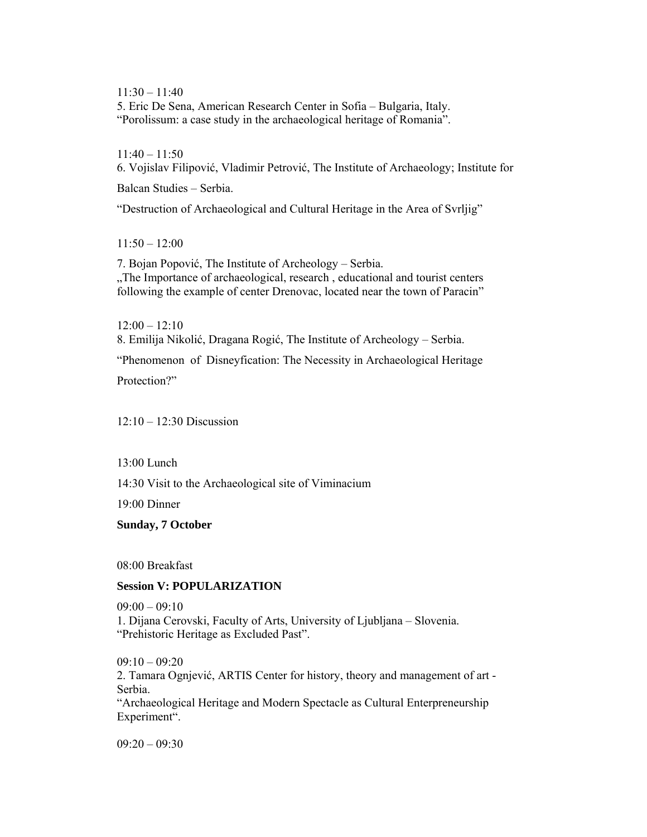11:30 – 11:40 5. Eric De Sena, American Research Center in Sofia – Bulgaria, Italy. "Porolissum: a case study in the archaeological heritage of Romania".

 $11:40 - 11:50$ 6. Vojislav Filipović, Vladimir Petrović, The Institute of Archaeology; Institute for

Balcan Studies – Serbia.

"Destruction of Archaeological and Cultural Heritage in the Area of Svrljig"

11:50 – 12:00

7. Bojan Popović, The Institute of Archeology – Serbia. "The Importance of archaeological, research, educational and tourist centers following the example of center Drenovac, located near the town of Paracin"

 $12:00 - 12:10$ 8. Emilija Nikolić, Dragana Rogić, The Institute of Archeology – Serbia. "Phenomenon of Disneyfication: The Necessity in Archaeological Heritage Protection?"

12:10 – 12:30 Discussion

13:00 Lunch

14:30 Visit to the Archaeological site of Viminacium

19:00 Dinner

**Sunday, 7 October**

08:00 Breakfast

# **Session V: POPULARIZATION**

 $09:00 - 09:10$ 1. Dijana Cerovski, Faculty of Arts, University of Ljubljana – Slovenia. "Prehistoric Heritage as Excluded Past".

 $09:10 - 09:20$ 2. Tamara Ognjević, ARTIS Center for history, theory and management of art - Serbia. "Archaeological Heritage and Modern Spectacle as Cultural Enterpreneurship Experiment".

09:20 – 09:30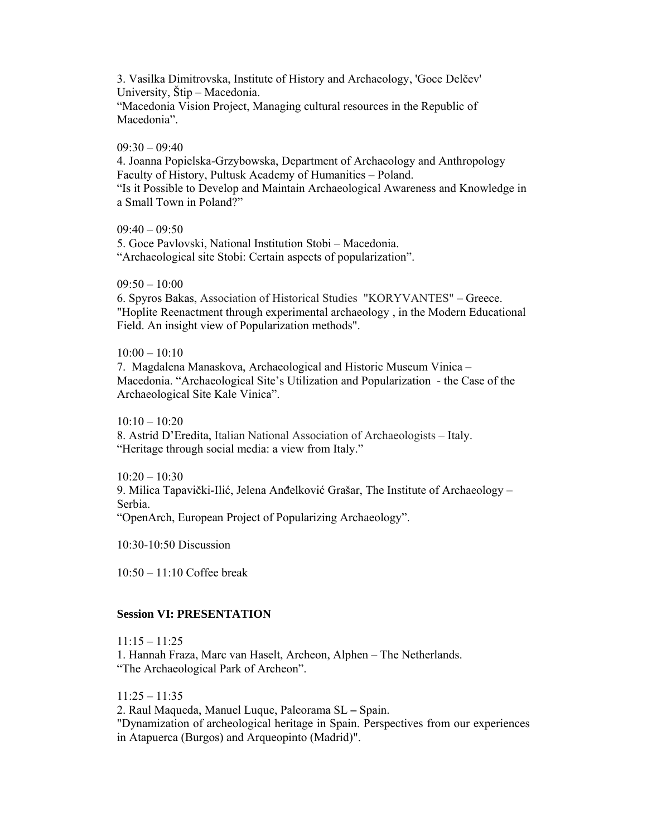3. Vasilka Dimitrovska, Institute of History and Archaeology, 'Goce Delčev' University, Štip – Macedonia.

"Macedonia Vision Project, Managing cultural resources in the Republic of Macedonia".

#### $09.30 - 09.40$

4. Joanna Popielska-Grzybowska, Department of Archaeology and Anthropology Faculty of History, Pultusk Academy of Humanities – Poland.

"Is it Possible to Develop and Maintain Archaeological Awareness and Knowledge in a Small Town in Poland?"

 $09:40 - 09:50$ 

5. Goce Pavlovski, National Institution Stobi – Macedonia. "Archaeological site Stobi: Certain aspects of popularization".

 $09:50 - 10:00$ 

6. Spyros Bakas, Association of Historical Studies "KORYVANTES" – Greece. "Hoplite Reenactment through experimental archaeology , in the Modern Educational Field. An insight view of Popularization methods".

#### $10:00 - 10:10$

7. Magdalena Manaskova, Archaeological and Historic Museum Vinica – Macedonia. "Archaeological Site's Utilization and Popularization - the Case of the Archaeological Site Kale Vinica".

 $10 \cdot 10 - 10 \cdot 20$ 8. Astrid D'Eredita, Italian National Association of Archaeologists – Italy. "Heritage through social media: a view from Italy."

 $10:20 - 10:30$ 9. Milica Tapavički-Ilić, Jelena Anđelković Grašar, The Institute of Archaeology – Serbia. "OpenArch, European Project of Popularizing Archaeology".

10:30-10:50 Discussion

 $10.50 - 11.10$  Coffee break

### **Session VI: PRESENTATION**

11:15 – 11:25

1. Hannah Fraza, Marc van Haselt, Archeon, Alphen – The Netherlands. "The Archaeological Park of Archeon".

11:25 – 11:35

2. Raul Maqueda, Manuel Luque, Paleorama SL **–** Spain.

"Dynamization of archeological heritage in Spain. Perspectives from our experiences in Atapuerca (Burgos) and Arqueopinto (Madrid)".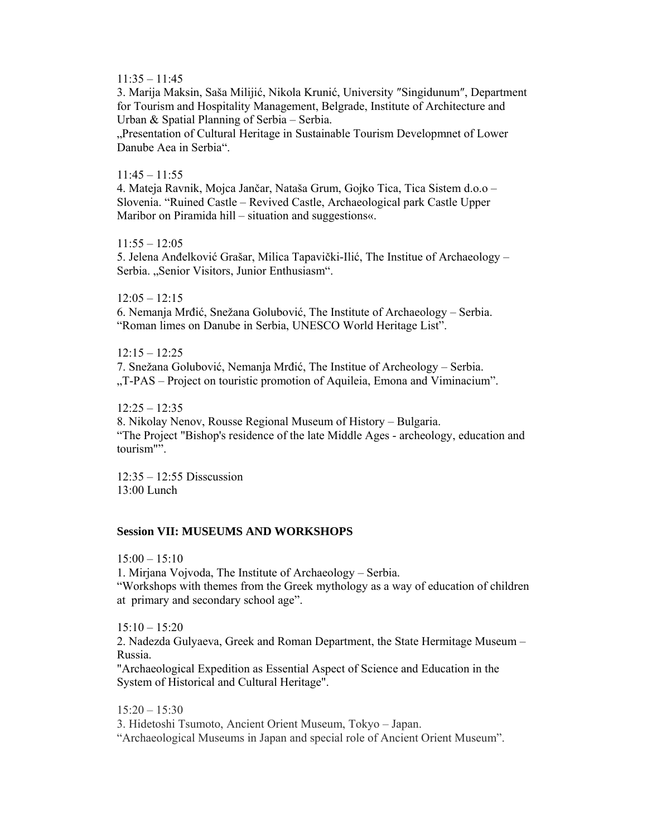$11:35 - 11:45$ 

3. Marija Maksin, Saša Milijić, Nikola Krunić, University ″Singidunum″, Department for Tourism and Hospitality Management, Belgrade, Institute of Architecture and Urban & Spatial Planning of Serbia – Serbia.

"Presentation of Cultural Heritage in Sustainable Tourism Developmnet of Lower Danube Aea in Serbia".

### $11:45 - 11:55$

4. Mateja Ravnik, Mojca Jančar, Nataša Grum, Gojko Tica, Tica Sistem d.o.o – Slovenia. "Ruined Castle – Revived Castle, Archaeological park Castle Upper Maribor on Piramida hill – situation and suggestions«.

 $11:55 - 12:05$ 

5. Jelena Anđelković Grašar, Milica Tapavički-Ilić, The Institue of Archaeology – Serbia. "Senior Visitors, Junior Enthusiasm".

12:05 – 12:15 6. Nemanja Mrđić, Snežana Golubović, The Institute of Archaeology – Serbia. "Roman limes on Danube in Serbia, UNESCO World Heritage List".

 $12:15 - 12:25$ 7. Snežana Golubović, Nemanja Mrđić, The Institue of Archeology – Serbia. "T-PAS – Project on touristic promotion of Aquileia, Emona and Viminacium".

 $12:25 - 12:35$ 8. Nikolay Nenov, Rousse Regional Museum of History – Bulgaria. "The Project "Bishop's residence of the late Middle Ages - archeology, education and tourism"".

12:35 – 12:55 Disscussion 13:00 Lunch

### **Session VII: MUSEUMS AND WORKSHOPS**

 $15:00 - 15:10$ 

1. Mirjana Vojvoda, The Institute of Archaeology – Serbia. "Workshops with themes from the Greek mythology as a way of education of children at primary and secondary school age".

 $15:10 - 15:20$ 

2. Nadezda Gulyaeva, Greek and Roman Department, the State Hermitage Museum – Russia.

"Archaeological Expedition as Essential Aspect of Science and Education in the System of Historical and Cultural Heritage".

15:20 – 15:30 3. Hidetoshi Tsumoto, Ancient Orient Museum, Tokyo – Japan. "Archaeological Museums in Japan and special role of Ancient Orient Museum".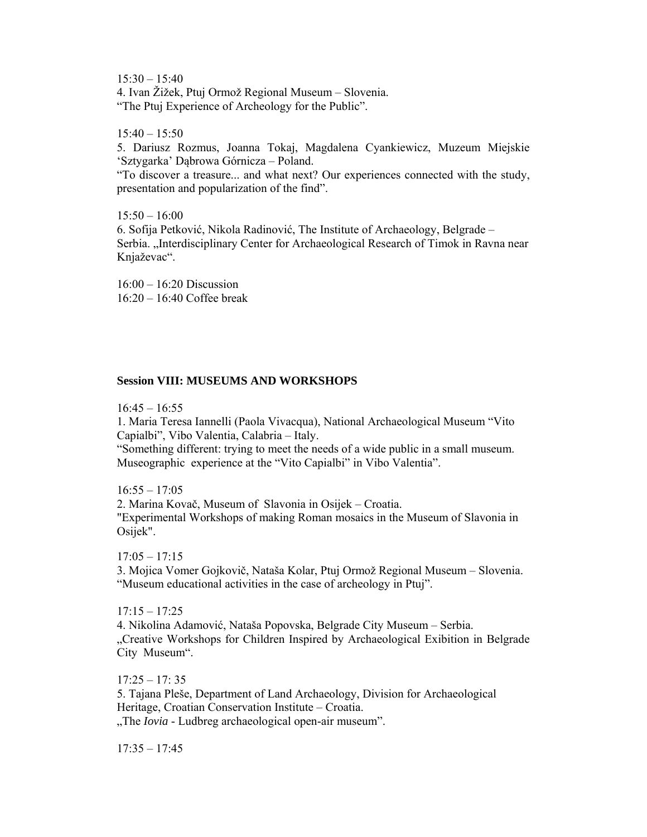$15:30 - 15:40$ 4. Ivan Žižek, Ptuj Ormož Regional Museum – Slovenia. "The Ptuj Experience of Archeology for the Public".

 $15:40 - 15:50$ 

5. Dariusz Rozmus, Joanna Tokaj, Magdalena Cyankiewicz, Muzeum Miejskie 'Sztygarka' Dąbrowa Górnicza – Poland.

"To discover a treasure... and what next? Our experiences connected with the study, presentation and popularization of the find".

 $15:50 - 16:00$ 6. Sofija Petković, Nikola Radinović, The Institute of Archaeology, Belgrade – Serbia. "Interdisciplinary Center for Archaeological Research of Timok in Ravna near Knjaževac".

16:00 – 16:20 Discussion 16:20 – 16:40 Coffee break

#### **Session VIII: MUSEUMS AND WORKSHOPS**

 $16:45 - 16:55$ 

1. Maria Teresa Iannelli (Paola Vivacqua), National Archaeological Museum "Vito Capialbi", Vibo Valentia, Calabria – Italy.

"Something different: trying to meet the needs of a wide public in a small museum. Museographic experience at the "Vito Capialbi" in Vibo Valentia".

 $16:55 - 17:05$ 

2. Marina Kovač, Museum of Slavonia in Osijek – Croatia. "Experimental Workshops of making Roman mosaics in the Museum of Slavonia in Osijek".

 $17:05 - 17:15$ 3. Mojica Vomer Gojkovič, Nataša Kolar, Ptuj Ormož Regional Museum – Slovenia. "Museum educational activities in the case of archeology in Ptuj".

 $17:15 - 17:25$ 

4. Nikolina Adamović, Nataša Popovska, Belgrade City Museum – Serbia. "Creative Workshops for Children Inspired by Archaeological Exibition in Belgrade City Museum".

 $17:25 - 17:35$ 

5. Tajana Pleše, Department of Land Archaeology, Division for Archaeological Heritage, Croatian Conservation Institute – Croatia.

"The *Iovia* - Ludbreg archaeological open-air museum".

17:35 – 17:45